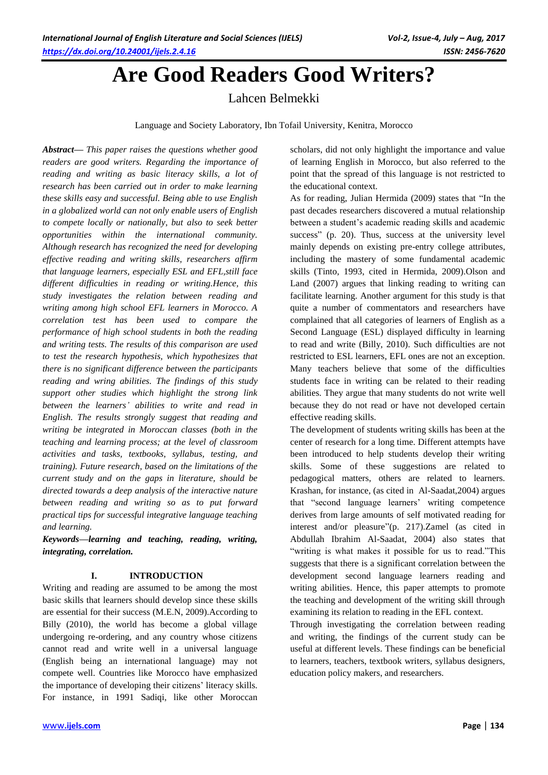# **Are Good Readers Good Writers?**

Lahcen Belmekki

Language and Society Laboratory, Ibn Tofail University, Kenitra, Morocco

*Abstract— This paper raises the questions whether good readers are good writers. Regarding the importance of reading and writing as basic literacy skills, a lot of research has been carried out in order to make learning these skills easy and successful. Being able to use English in a globalized world can not only enable users of English to compete locally or nationally, but also to seek better opportunities within the international community. Although research has recognized the need for developing effective reading and writing skills, researchers affirm that language learners, especially ESL and EFL,still face different difficulties in reading or writing.Hence, this study investigates the relation between reading and writing among high school EFL learners in Morocco. A correlation test has been used to compare the performance of high school students in both the reading and writing tests. The results of this comparison are used to test the research hypothesis, which hypothesizes that there is no significant difference between the participants reading and wring abilities. The findings of this study support other studies which highlight the strong link between the learners' abilities to write and read in English. The results strongly suggest that reading and writing be integrated in Moroccan classes (both in the teaching and learning process; at the level of classroom activities and tasks, textbooks, syllabus, testing, and training). Future research, based on the limitations of the current study and on the gaps in literature, should be directed towards a deep analysis of the interactive nature between reading and writing so as to put forward practical tips for successful integrative language teaching and learning.*

*Keywords—learning and teaching, reading, writing, integrating, correlation.*

# **I. INTRODUCTION**

Writing and reading are assumed to be among the most basic skills that learners should develop since these skills are essential for their success (M.E.N, 2009).According to Billy (2010), the world has become a global village undergoing re-ordering, and any country whose citizens cannot read and write well in a universal language (English being an international language) may not compete well. Countries like Morocco have emphasized the importance of developing their citizens' literacy skills. For instance, in 1991 Sadiqi, like other Moroccan scholars, did not only highlight the importance and value of learning English in Morocco, but also referred to the point that the spread of this language is not restricted to the educational context*.*

As for reading, Julian Hermida (2009) states that "In the past decades researchers discovered a mutual relationship between a student's academic reading skills and academic success" (p. 20). Thus, success at the university level mainly depends on existing pre-entry college attributes, including the mastery of some fundamental academic skills (Tinto, 1993, cited in Hermida, 2009).Olson and Land (2007) argues that linking reading to writing can facilitate learning. Another argument for this study is that quite a number of commentators and researchers have complained that all categories of learners of English as a Second Language (ESL) displayed difficulty in learning to read and write (Billy, 2010). Such difficulties are not restricted to ESL learners, EFL ones are not an exception. Many teachers believe that some of the difficulties students face in writing can be related to their reading abilities. They argue that many students do not write well because they do not read or have not developed certain effective reading skills.

The development of students writing skills has been at the center of research for a long time. Different attempts have been introduced to help students develop their writing skills. Some of these suggestions are related to pedagogical matters, others are related to learners. Krashan, for instance, (as cited in Al-Saadat,2004) argues that "second language learners' writing competence derives from large amounts of self motivated reading for interest and/or pleasure"(p. 217).Zamel (as cited in Abdullah Ibrahim Al-Saadat, 2004) also states that "writing is what makes it possible for us to read."This suggests that there is a significant correlation between the development second language learners reading and writing abilities. Hence, this paper attempts to promote the teaching and development of the writing skill through examining its relation to reading in the EFL context.

Through investigating the correlation between reading and writing, the findings of the current study can be useful at different levels. These findings can be beneficial to learners, teachers, textbook writers, syllabus designers, education policy makers, and researchers.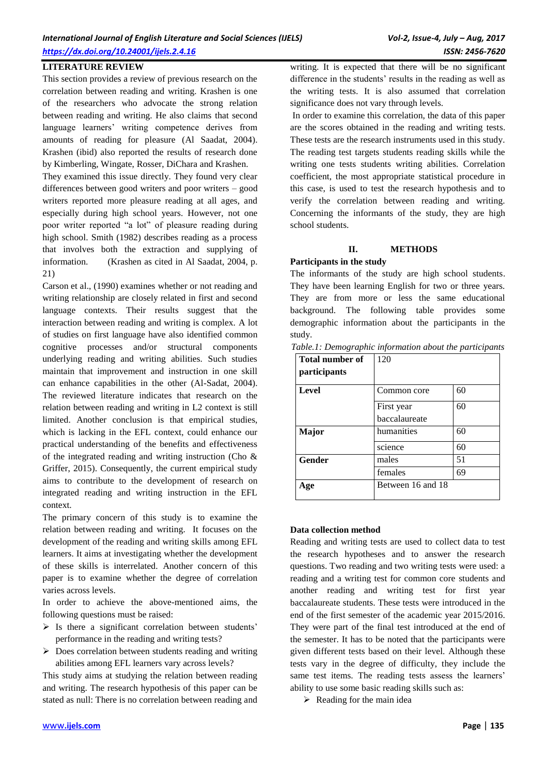This section provides a review of previous research on the correlation between reading and writing. Krashen is one of the researchers who advocate the strong relation between reading and writing. He also claims that second language learners' writing competence derives from amounts of reading for pleasure (Al Saadat, 2004). Krashen (ibid) also reported the results of research done by Kimberling, Wingate, Rosser, DiChara and Krashen.

They examined this issue directly. They found very clear differences between good writers and poor writers – good writers reported more pleasure reading at all ages, and especially during high school years. However, not one poor writer reported "a lot" of pleasure reading during high school. Smith (1982) describes reading as a process that involves both the extraction and supplying of information. (Krashen as cited in Al Saadat, 2004, p. 21)

Carson et al., (1990) examines whether or not reading and writing relationship are closely related in first and second language contexts. Their results suggest that the interaction between reading and writing is complex. A lot of studies on first language have also identified common cognitive processes and/or structural components underlying reading and writing abilities. Such studies maintain that improvement and instruction in one skill can enhance capabilities in the other (Al-Sadat, 2004). The reviewed literature indicates that research on the relation between reading and writing in L2 context is still limited. Another conclusion is that empirical studies, which is lacking in the EFL context, could enhance our practical understanding of the benefits and effectiveness of the integrated reading and writing instruction (Cho & Griffer, 2015). Consequently, the current empirical study aims to contribute to the development of research on integrated reading and writing instruction in the EFL context.

The primary concern of this study is to examine the relation between reading and writing. It focuses on the development of the reading and writing skills among EFL learners. It aims at investigating whether the development of these skills is interrelated. Another concern of this paper is to examine whether the degree of correlation varies across levels.

In order to achieve the above-mentioned aims, the following questions must be raised:

- $\triangleright$  Is there a significant correlation between students' performance in the reading and writing tests?
- $\triangleright$  Does correlation between students reading and writing abilities among EFL learners vary across levels?

This study aims at studying the relation between reading and writing. The research hypothesis of this paper can be stated as null: There is no correlation between reading and

writing. It is expected that there will be no significant difference in the students' results in the reading as well as the writing tests. It is also assumed that correlation significance does not vary through levels.

In order to examine this correlation, the data of this paper are the scores obtained in the reading and writing tests. These tests are the research instruments used in this study. The reading test targets students reading skills while the writing one tests students writing abilities. Correlation coefficient, the most appropriate statistical procedure in this case, is used to test the research hypothesis and to verify the correlation between reading and writing. Concerning the informants of the study, they are high school students.

## **II. METHODS**

## **Participants in the study**

The informants of the study are high school students. They have been learning English for two or three years. They are from more or less the same educational background. The following table provides some demographic information about the participants in the study.

| <b>Total number of</b><br>participants | 120               |    |
|----------------------------------------|-------------------|----|
| Level                                  | Common core       | 60 |
|                                        | First year        | 60 |
|                                        | baccalaureate     |    |
| Major                                  | humanities        | 60 |
|                                        | science           | 60 |
| Gender                                 | males             | 51 |
|                                        | females           | 69 |
| Age                                    | Between 16 and 18 |    |

#### *Table.1: Demographic information about the participants*

## **Data collection method**

Reading and writing tests are used to collect data to test the research hypotheses and to answer the research questions. Two reading and two writing tests were used: a reading and a writing test for common core students and another reading and writing test for first year baccalaureate students. These tests were introduced in the end of the first semester of the academic year 2015/2016. They were part of the final test introduced at the end of the semester. It has to be noted that the participants were given different tests based on their level. Although these tests vary in the degree of difficulty, they include the same test items. The reading tests assess the learners' ability to use some basic reading skills such as:

 $\triangleright$  Reading for the main idea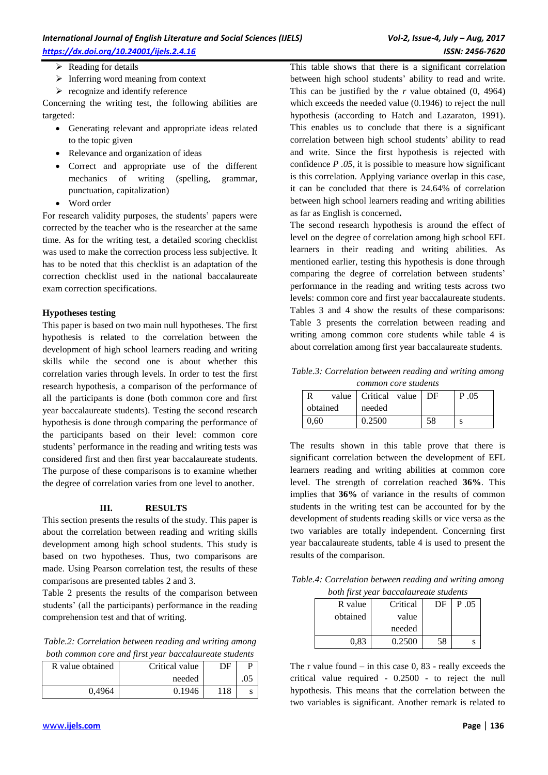- $\triangleright$  Reading for details
- $\triangleright$  Inferring word meaning from context
- $\triangleright$  recognize and identify reference

Concerning the writing test, the following abilities are targeted:

- Generating relevant and appropriate ideas related to the topic given
- Relevance and organization of ideas
- Correct and appropriate use of the different mechanics of writing (spelling, grammar, punctuation, capitalization)
- Word order

For research validity purposes, the students' papers were corrected by the teacher who is the researcher at the same time. As for the writing test, a detailed scoring checklist was used to make the correction process less subjective. It has to be noted that this checklist is an adaptation of the correction checklist used in the national baccalaureate exam correction specifications.

## **Hypotheses testing**

This paper is based on two main null hypotheses. The first hypothesis is related to the correlation between the development of high school learners reading and writing skills while the second one is about whether this correlation varies through levels. In order to test the first research hypothesis, a comparison of the performance of all the participants is done (both common core and first year baccalaureate students). Testing the second research hypothesis is done through comparing the performance of the participants based on their level: common core students' performance in the reading and writing tests was considered first and then first year baccalaureate students. The purpose of these comparisons is to examine whether the degree of correlation varies from one level to another.

## **III. RESULTS**

This section presents the results of the study. This paper is about the correlation between reading and writing skills development among high school students. This study is based on two hypotheses. Thus, two comparisons are made. Using Pearson correlation test, the results of these comparisons are presented tables 2 and 3.

Table 2 presents the results of the comparison between students' (all the participants) performance in the reading comprehension test and that of writing.

*Table.2: Correlation between reading and writing among both common core and first year baccalaureate students*

| <i>come common core and province real oucculation care statements</i> |                |    |     |  |  |
|-----------------------------------------------------------------------|----------------|----|-----|--|--|
| R value obtained                                                      | Critical value | DF |     |  |  |
|                                                                       | needed         |    | .05 |  |  |
| 0.4964                                                                | 0.1946         |    |     |  |  |

This table shows that there is a significant correlation between high school students' ability to read and write. This can be justified by the *r* value obtained (0, 4964) which exceeds the needed value (0.1946) to reject the null hypothesis (according to Hatch and Lazaraton, 1991). This enables us to conclude that there is a significant correlation between high school students' ability to read and write. Since the first hypothesis is rejected with confidence *P .05*, it is possible to measure how significant is this correlation. Applying variance overlap in this case, it can be concluded that there is 24.64% of correlation between high school learners reading and writing abilities as far as English is concerned**.**

The second research hypothesis is around the effect of level on the degree of correlation among high school EFL learners in their reading and writing abilities. As mentioned earlier, testing this hypothesis is done through comparing the degree of correlation between students' performance in the reading and writing tests across two levels: common core and first year baccalaureate students. Tables 3 and 4 show the results of these comparisons: Table 3 presents the correlation between reading and writing among common core students while table 4 is about correlation among first year baccalaureate students.

*Table.3: Correlation between reading and writing among common core students*

|      |          | value   Critical value   DF |  | P 05 |
|------|----------|-----------------------------|--|------|
|      | obtained | needed                      |  |      |
| 0.60 |          | 0.2500                      |  |      |

The results shown in this table prove that there is significant correlation between the development of EFL learners reading and writing abilities at common core level. The strength of correlation reached **36%**. This implies that **36%** of variance in the results of common students in the writing test can be accounted for by the development of students reading skills or vice versa as the two variables are totally independent. Concerning first year baccalaureate students, table 4 is used to present the results of the comparison.

*Table.4: Correlation between reading and writing among both first year baccalaureate students*

| R value  | Critical | DF | P.05 |
|----------|----------|----|------|
| obtained | value    |    |      |
|          | needed   |    |      |
| 0.83     | 0.2500   | 58 |      |

The r value found  $-$  in this case 0, 83 - really exceeds the critical value required - 0.2500 - to reject the null hypothesis. This means that the correlation between the two variables is significant. Another remark is related to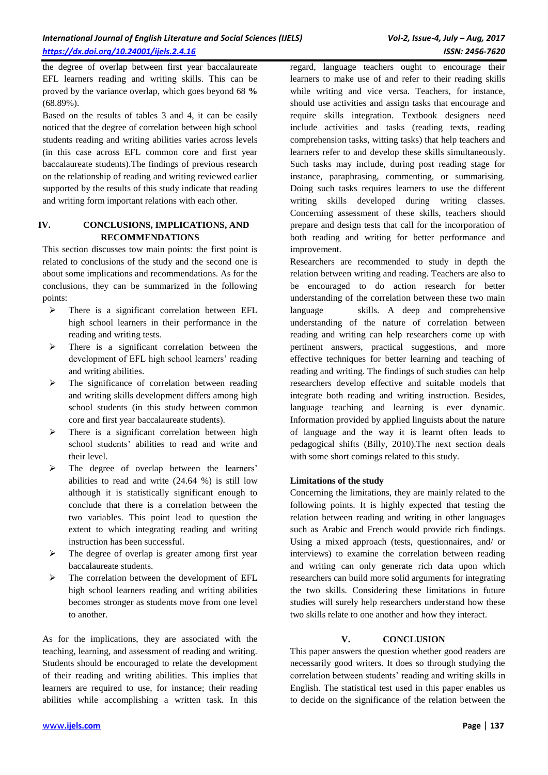the degree of overlap between first year baccalaureate EFL learners reading and writing skills. This can be proved by the variance overlap, which goes beyond 68 **%** (68.89%).

Based on the results of tables 3 and 4, it can be easily noticed that the degree of correlation between high school students reading and writing abilities varies across levels (in this case across EFL common core and first year baccalaureate students).The findings of previous research on the relationship of reading and writing reviewed earlier supported by the results of this study indicate that reading and writing form important relations with each other.

## **IV. CONCLUSIONS, IMPLICATIONS, AND RECOMMENDATIONS**

This section discusses tow main points: the first point is related to conclusions of the study and the second one is about some implications and recommendations. As for the conclusions, they can be summarized in the following points:

- $\triangleright$  There is a significant correlation between EFL high school learners in their performance in the reading and writing tests.
- $\triangleright$  There is a significant correlation between the development of EFL high school learners' reading and writing abilities.
- $\triangleright$  The significance of correlation between reading and writing skills development differs among high school students (in this study between common core and first year baccalaureate students).
- $\triangleright$  There is a significant correlation between high school students' abilities to read and write and their level.
- > The degree of overlap between the learners' abilities to read and write (24.64 %) is still low although it is statistically significant enough to conclude that there is a correlation between the two variables. This point lead to question the extent to which integrating reading and writing instruction has been successful.
- $\triangleright$  The degree of overlap is greater among first year baccalaureate students.
- $\triangleright$  The correlation between the development of EFL high school learners reading and writing abilities becomes stronger as students move from one level to another.

As for the implications, they are associated with the teaching, learning, and assessment of reading and writing. Students should be encouraged to relate the development of their reading and writing abilities. This implies that learners are required to use, for instance; their reading abilities while accomplishing a written task. In this regard, language teachers ought to encourage their learners to make use of and refer to their reading skills while writing and vice versa. Teachers, for instance, should use activities and assign tasks that encourage and require skills integration. Textbook designers need include activities and tasks (reading texts, reading comprehension tasks, witting tasks) that help teachers and learners refer to and develop these skills simultaneously. Such tasks may include, during post reading stage for instance, paraphrasing, commenting, or summarising. Doing such tasks requires learners to use the different writing skills developed during writing classes. Concerning assessment of these skills, teachers should prepare and design tests that call for the incorporation of both reading and writing for better performance and improvement.

Researchers are recommended to study in depth the relation between writing and reading. Teachers are also to be encouraged to do action research for better understanding of the correlation between these two main language skills. A deep and comprehensive understanding of the nature of correlation between reading and writing can help researchers come up with pertinent answers, practical suggestions, and more effective techniques for better learning and teaching of reading and writing. The findings of such studies can help researchers develop effective and suitable models that integrate both reading and writing instruction. Besides, language teaching and learning is ever dynamic. Information provided by applied linguists about the nature of language and the way it is learnt often leads to pedagogical shifts (Billy, 2010).The next section deals with some short comings related to this study.

# **Limitations of the study**

Concerning the limitations, they are mainly related to the following points. It is highly expected that testing the relation between reading and writing in other languages such as Arabic and French would provide rich findings. Using a mixed approach (tests, questionnaires, and/ or interviews) to examine the correlation between reading and writing can only generate rich data upon which researchers can build more solid arguments for integrating the two skills. Considering these limitations in future studies will surely help researchers understand how these two skills relate to one another and how they interact.

# **V. CONCLUSION**

This paper answers the question whether good readers are necessarily good writers. It does so through studying the correlation between students' reading and writing skills in English. The statistical test used in this paper enables us to decide on the significance of the relation between the